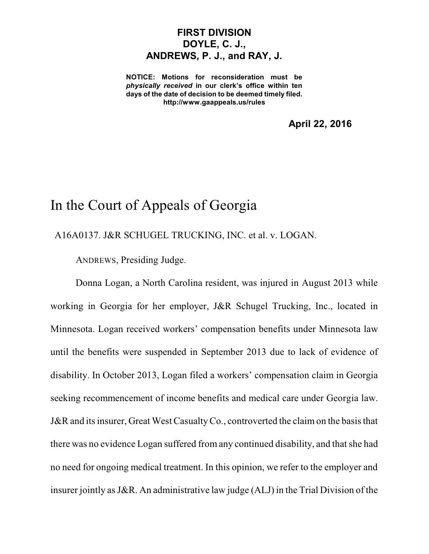## **FIRST DIVISION DOYLE, C. J., ANDREWS, P. J., and RAY, J.**

**NOTICE: Motions for reconsideration must be** *physically received* **in our clerk's office within ten days of the date of decision to be deemed timely filed. http://www.gaappeals.us/rules**

**April 22, 2016**

## In the Court of Appeals of Georgia

A16A0137. J&R SCHUGEL TRUCKING, INC. et al. v. LOGAN.

ANDREWS, Presiding Judge.

Donna Logan, a North Carolina resident, was injured in August 2013 while working in Georgia for her employer, J&R Schugel Trucking, Inc., located in Minnesota. Logan received workers' compensation benefits under Minnesota law until the benefits were suspended in September 2013 due to lack of evidence of disability. In October 2013, Logan filed a workers' compensation claim in Georgia seeking recommencement of income benefits and medical care under Georgia law. J&R and its insurer, Great West Casualty Co., controverted the claim on the basis that there was no evidence Logan suffered from any continued disability, and that she had no need for ongoing medical treatment. In this opinion, we refer to the employer and insurer jointly asJ&R. An administrative law judge (ALJ) in the Trial Division of the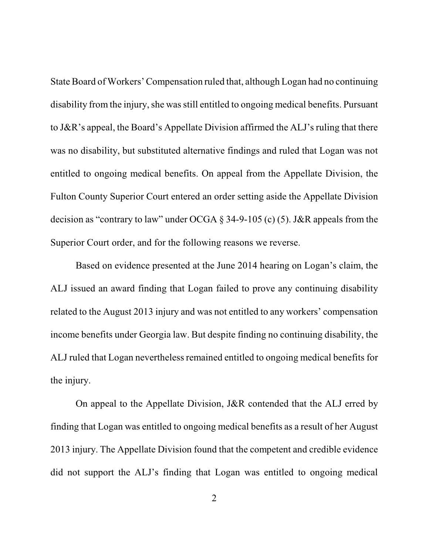State Board of Workers'Compensation ruled that, although Logan had no continuing disability from the injury, she was still entitled to ongoing medical benefits. Pursuant to J&R's appeal, the Board's Appellate Division affirmed the ALJ's ruling that there was no disability, but substituted alternative findings and ruled that Logan was not entitled to ongoing medical benefits. On appeal from the Appellate Division, the Fulton County Superior Court entered an order setting aside the Appellate Division decision as "contrary to law" under OCGA § 34-9-105 (c) (5). J&R appeals from the Superior Court order, and for the following reasons we reverse.

Based on evidence presented at the June 2014 hearing on Logan's claim, the ALJ issued an award finding that Logan failed to prove any continuing disability related to the August 2013 injury and was not entitled to any workers' compensation income benefits under Georgia law. But despite finding no continuing disability, the ALJ ruled that Logan nevertheless remained entitled to ongoing medical benefits for the injury.

On appeal to the Appellate Division, J&R contended that the ALJ erred by finding that Logan was entitled to ongoing medical benefits as a result of her August 2013 injury. The Appellate Division found that the competent and credible evidence did not support the ALJ's finding that Logan was entitled to ongoing medical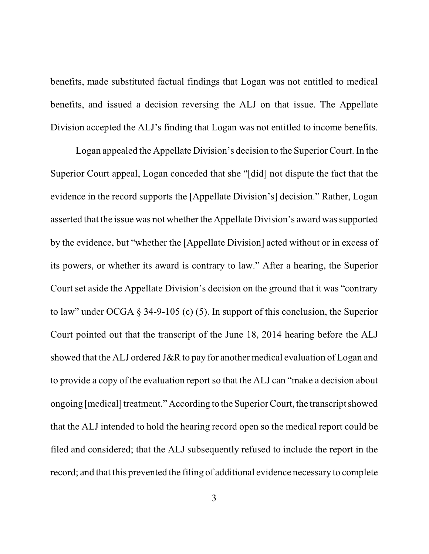benefits, made substituted factual findings that Logan was not entitled to medical benefits, and issued a decision reversing the ALJ on that issue. The Appellate Division accepted the ALJ's finding that Logan was not entitled to income benefits.

Logan appealed the Appellate Division's decision to the Superior Court. In the Superior Court appeal, Logan conceded that she "[did] not dispute the fact that the evidence in the record supports the [Appellate Division's] decision." Rather, Logan asserted that the issue was not whether the Appellate Division's award wassupported by the evidence, but "whether the [Appellate Division] acted without or in excess of its powers, or whether its award is contrary to law." After a hearing, the Superior Court set aside the Appellate Division's decision on the ground that it was "contrary to law" under OCGA § 34-9-105 (c) (5). In support of this conclusion, the Superior Court pointed out that the transcript of the June 18, 2014 hearing before the ALJ showed that the ALJ ordered J&R to pay for another medical evaluation of Logan and to provide a copy of the evaluation report so that the ALJ can "make a decision about" ongoing [medical] treatment." According to the Superior Court, the transcript showed that the ALJ intended to hold the hearing record open so the medical report could be filed and considered; that the ALJ subsequently refused to include the report in the record; and that this prevented the filing of additional evidence necessary to complete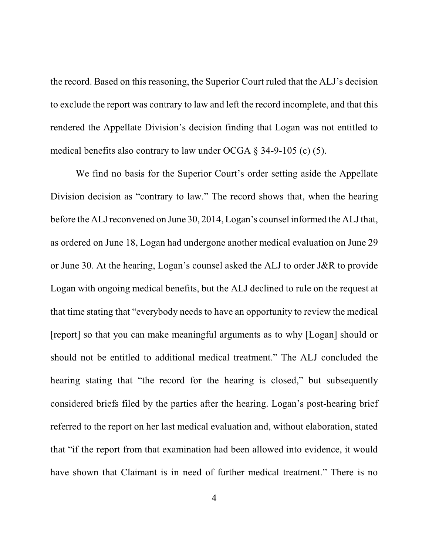the record. Based on this reasoning, the Superior Court ruled that the ALJ's decision to exclude the report was contrary to law and left the record incomplete, and that this rendered the Appellate Division's decision finding that Logan was not entitled to medical benefits also contrary to law under OCGA  $\S$  34-9-105 (c) (5).

We find no basis for the Superior Court's order setting aside the Appellate Division decision as "contrary to law." The record shows that, when the hearing before the ALJ reconvened on June 30, 2014, Logan's counsel informed the ALJ that, as ordered on June 18, Logan had undergone another medical evaluation on June 29 or June 30. At the hearing, Logan's counsel asked the ALJ to order J&R to provide Logan with ongoing medical benefits, but the ALJ declined to rule on the request at that time stating that "everybody needs to have an opportunity to review the medical [report] so that you can make meaningful arguments as to why [Logan] should or should not be entitled to additional medical treatment." The ALJ concluded the hearing stating that "the record for the hearing is closed," but subsequently considered briefs filed by the parties after the hearing. Logan's post-hearing brief referred to the report on her last medical evaluation and, without elaboration, stated that "if the report from that examination had been allowed into evidence, it would have shown that Claimant is in need of further medical treatment." There is no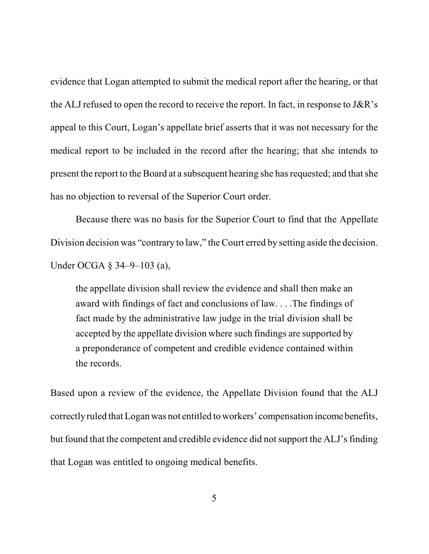evidence that Logan attempted to submit the medical report after the hearing, or that the ALJ refused to open the record to receive the report. In fact, in response to J&R's appeal to this Court, Logan's appellate brief asserts that it was not necessary for the medical report to be included in the record after the hearing; that she intends to present the report to the Board at a subsequent hearing she has requested; and that she has no objection to reversal of the Superior Court order.

Because there was no basis for the Superior Court to find that the Appellate Division decision was "contrary to law," the Court erred by setting aside the decision. Under OCGA § 34–9–103 (a),

the appellate division shall review the evidence and shall then make an award with findings of fact and conclusions of law. . . .The findings of fact made by the administrative law judge in the trial division shall be accepted by the appellate division where such findings are supported by a preponderance of competent and credible evidence contained within the records.

Based upon a review of the evidence, the Appellate Division found that the ALJ correctly ruled that Logan was not entitled to workers' compensation income benefits, but found that the competent and credible evidence did not support the ALJ's finding that Logan was entitled to ongoing medical benefits.